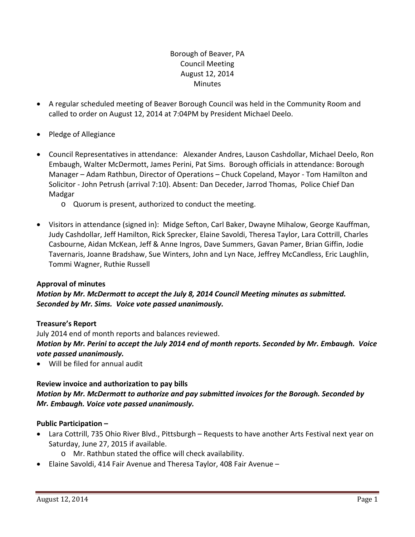## Borough of Beaver, PA Council Meeting August 12, 2014 **Minutes**

- A regular scheduled meeting of Beaver Borough Council was held in the Community Room and called to order on August 12, 2014 at 7:04PM by President Michael Deelo.
- Pledge of Allegiance
- Council Representatives in attendance: Alexander Andres, Lauson Cashdollar, Michael Deelo, Ron Embaugh, Walter McDermott, James Perini, Pat Sims. Borough officials in attendance: Borough Manager – Adam Rathbun, Director of Operations – Chuck Copeland, Mayor ‐ Tom Hamilton and Solicitor ‐ John Petrush (arrival 7:10). Absent: Dan Deceder, Jarrod Thomas, Police Chief Dan Madgar
	- o Quorum is present, authorized to conduct the meeting.
- Visitors in attendance (signed in): Midge Sefton, Carl Baker, Dwayne Mihalow, George Kauffman, Judy Cashdollar, Jeff Hamilton, Rick Sprecker, Elaine Savoldi, Theresa Taylor, Lara Cottrill, Charles Casbourne, Aidan McKean, Jeff & Anne Ingros, Dave Summers, Gavan Pamer, Brian Giffin, Jodie Tavernaris, Joanne Bradshaw, Sue Winters, John and Lyn Nace, Jeffrey McCandless, Eric Laughlin, Tommi Wagner, Ruthie Russell

#### **Approval of minutes**

## *Motion by Mr. McDermott to accept the July 8, 2014 Council Meeting minutes as submitted. Seconded by Mr. Sims. Voice vote passed unanimously.*

#### **Treasure's Report**

July 2014 end of month reports and balances reviewed. Motion by Mr. Perini to accept the July 2014 end of month reports. Seconded by Mr. Embaugh. Voice *vote passed unanimously.*

Will be filed for annual audit

#### **Review invoice and authorization to pay bills**

## *Motion by Mr. McDermott to authorize and pay submitted invoices for the Borough. Seconded by Mr. Embaugh. Voice vote passed unanimously.*

#### **Public Participation –**

- Lara Cottrill, 735 Ohio River Blvd., Pittsburgh Requests to have another Arts Festival next year on Saturday, June 27, 2015 if available.
	- o Mr. Rathbun stated the office will check availability.
- Elaine Savoldi, 414 Fair Avenue and Theresa Taylor, 408 Fair Avenue –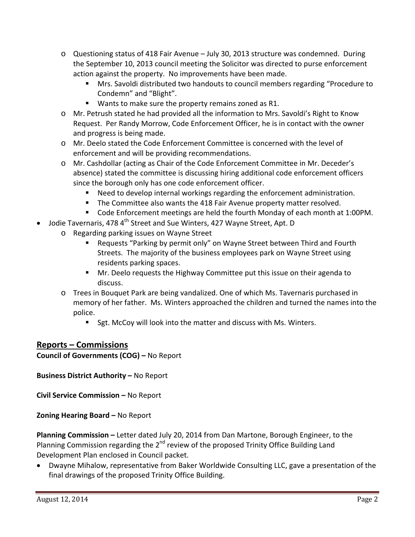- o Questioning status of 418 Fair Avenue July 30, 2013 structure was condemned. During the September 10, 2013 council meeting the Solicitor was directed to purse enforcement action against the property. No improvements have been made.
	- Mrs. Savoldi distributed two handouts to council members regarding "Procedure to Condemn" and "Blight".
	- Wants to make sure the property remains zoned as R1.
- o Mr. Petrush stated he had provided all the information to Mrs. Savoldi's Right to Know Request. Per Randy Morrow, Code Enforcement Officer, he is in contact with the owner and progress is being made.
- o Mr. Deelo stated the Code Enforcement Committee is concerned with the level of enforcement and will be providing recommendations.
- o Mr. Cashdollar (acting as Chair of the Code Enforcement Committee in Mr. Deceder's absence) stated the committee is discussing hiring additional code enforcement officers since the borough only has one code enforcement officer.
	- Need to develop internal workings regarding the enforcement administration.
	- **The Committee also wants the 418 Fair Avenue property matter resolved.**
	- Code Enforcement meetings are held the fourth Monday of each month at 1:00PM.
- Jodie Tavernaris, 478 4<sup>th</sup> Street and Sue Winters, 427 Wayne Street, Apt. D
	- o Regarding parking issues on Wayne Street
		- Requests "Parking by permit only" on Wayne Street between Third and Fourth Streets. The majority of the business employees park on Wayne Street using residents parking spaces.
		- Mr. Deelo requests the Highway Committee put this issue on their agenda to discuss.
	- o Trees in Bouquet Park are being vandalized. One of which Ms. Tavernaris purchased in memory of her father. Ms. Winters approached the children and turned the names into the police.
		- Sgt. McCoy will look into the matter and discuss with Ms. Winters.

# **Reports – Commissions**

**Council of Governments (COG) –** No Report

**Business District Authority –** No Report

**Civil Service Commission –** No Report

**Zoning Hearing Board –** No Report

**Planning Commission –** Letter dated July 20, 2014 from Dan Martone, Borough Engineer, to the Planning Commission regarding the  $2^{nd}$  review of the proposed Trinity Office Building Land Development Plan enclosed in Council packet.

 Dwayne Mihalow, representative from Baker Worldwide Consulting LLC, gave a presentation of the final drawings of the proposed Trinity Office Building.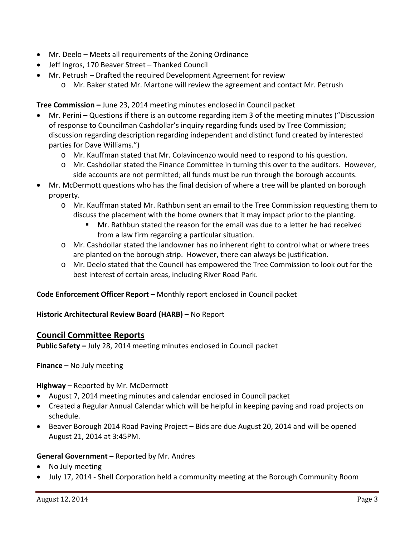- Mr. Deelo Meets all requirements of the Zoning Ordinance
- Jeff Ingros, 170 Beaver Street Thanked Council
- Mr. Petrush Drafted the required Development Agreement for review
	- o Mr. Baker stated Mr. Martone will review the agreement and contact Mr. Petrush

**Tree Commission –** June 23, 2014 meeting minutes enclosed in Council packet

- Mr. Perini Questions if there is an outcome regarding item 3 of the meeting minutes ("Discussion of response to Councilman Cashdollar's inquiry regarding funds used by Tree Commission; discussion regarding description regarding independent and distinct fund created by interested parties for Dave Williams.")
	- o Mr. Kauffman stated that Mr. Colavincenzo would need to respond to his question.
	- o Mr. Cashdollar stated the Finance Committee in turning this over to the auditors. However, side accounts are not permitted; all funds must be run through the borough accounts.
- Mr. McDermott questions who has the final decision of where a tree will be planted on borough property.
	- o Mr. Kauffman stated Mr. Rathbun sent an email to the Tree Commission requesting them to discuss the placement with the home owners that it may impact prior to the planting.
		- Mr. Rathbun stated the reason for the email was due to a letter he had received from a law firm regarding a particular situation.
	- o Mr. Cashdollar stated the landowner has no inherent right to control what or where trees are planted on the borough strip. However, there can always be justification.
	- o Mr. Deelo stated that the Council has empowered the Tree Commission to look out for the best interest of certain areas, including River Road Park.

**Code Enforcement Officer Report –** Monthly report enclosed in Council packet

**Historic Architectural Review Board (HARB) –** No Report

#### **Council Committee Reports**

**Public Safety –** July 28, 2014 meeting minutes enclosed in Council packet

**Finance –** No July meeting

**Highway –** Reported by Mr. McDermott

- August 7, 2014 meeting minutes and calendar enclosed in Council packet
- Created a Regular Annual Calendar which will be helpful in keeping paving and road projects on schedule.
- Beaver Borough 2014 Road Paving Project Bids are due August 20, 2014 and will be opened August 21, 2014 at 3:45PM.

#### **General Government –** Reported by Mr. Andres

- No July meeting
- July 17, 2014 ‐ Shell Corporation held a community meeting at the Borough Community Room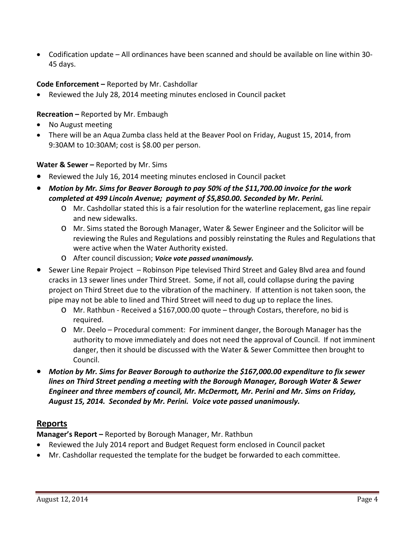● Codification update – All ordinances have been scanned and should be available on line within 30-45 days.

## **Code Enforcement –** Reported by Mr. Cashdollar

Reviewed the July 28, 2014 meeting minutes enclosed in Council packet

**Recreation –** Reported by Mr. Embaugh

- No August meeting
- There will be an Aqua Zumba class held at the Beaver Pool on Friday, August 15, 2014, from 9:30AM to 10:30AM; cost is \$8.00 per person.

**Water & Sewer –** Reported by Mr. Sims

- Reviewed the July 16, 2014 meeting minutes enclosed in Council packet
- *Motion by Mr. Sims for Beaver Borough to pay 50% of the \$11,700.00 invoice for the work completed at 499 Lincoln Avenue; payment of \$5,850.00. Seconded by Mr. Perini.*
	- o Mr. Cashdollar stated this is a fair resolution for the waterline replacement, gas line repair and new sidewalks.
	- o Mr. Sims stated the Borough Manager, Water & Sewer Engineer and the Solicitor will be reviewing the Rules and Regulations and possibly reinstating the Rules and Regulations that were active when the Water Authority existed.
	- o After council discussion; *Voice vote passed unanimously.*
- Sewer Line Repair Project Robinson Pipe televised Third Street and Galey Blvd area and found cracks in 13 sewer lines under Third Street. Some, if not all, could collapse during the paving project on Third Street due to the vibration of the machinery. If attention is not taken soon, the pipe may not be able to lined and Third Street will need to dug up to replace the lines.
	- o Mr. Rathbun ‐ Received a \$167,000.00 quote through Costars, therefore, no bid is required.
	- o Mr. Deelo Procedural comment: For imminent danger, the Borough Manager has the authority to move immediately and does not need the approval of Council. If not imminent danger, then it should be discussed with the Water & Sewer Committee then brought to Council.
- *Motion by Mr. Sims for Beaver Borough to authorize the \$167,000.00 expenditure to fix sewer lines on Third Street pending a meeting with the Borough Manager, Borough Water & Sewer Engineer and three members of council, Mr. McDermott, Mr. Perini and Mr. Sims on Friday, August 15, 2014. Seconded by Mr. Perini. Voice vote passed unanimously.*

# **Reports**

**Manager's Report –** Reported by Borough Manager, Mr. Rathbun

- Reviewed the July 2014 report and Budget Request form enclosed in Council packet
- Mr. Cashdollar requested the template for the budget be forwarded to each committee.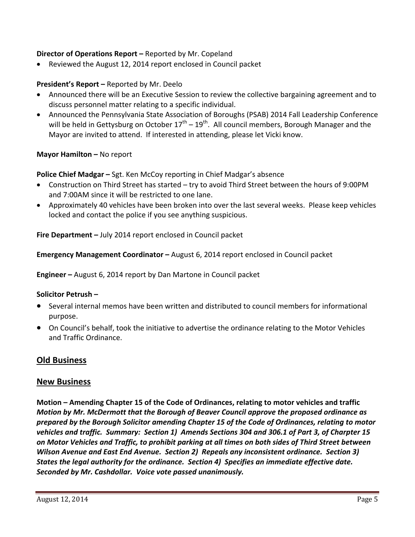#### **Director of Operations Report –** Reported by Mr. Copeland

Reviewed the August 12, 2014 report enclosed in Council packet

## **President's Report –** Reported by Mr. Deelo

- Announced there will be an Executive Session to review the collective bargaining agreement and to discuss personnel matter relating to a specific individual.
- Announced the Pennsylvania State Association of Boroughs (PSAB) 2014 Fall Leadership Conference will be held in Gettysburg on October  $17<sup>th</sup> - 19<sup>th</sup>$ . All council members, Borough Manager and the Mayor are invited to attend. If interested in attending, please let Vicki know.

## **Mayor Hamilton –** No report

**Police Chief Madgar –** Sgt. Ken McCoy reporting in Chief Madgar's absence

- Construction on Third Street has started try to avoid Third Street between the hours of 9:00PM and 7:00AM since it will be restricted to one lane.
- Approximately 40 vehicles have been broken into over the last several weeks. Please keep vehicles locked and contact the police if you see anything suspicious.

**Fire Department –** July 2014 report enclosed in Council packet

**Emergency Management Coordinator –** August 6, 2014 report enclosed in Council packet

**Engineer –** August 6, 2014 report by Dan Martone in Council packet

#### **Solicitor Petrush –**

- Several internal memos have been written and distributed to council members for informational purpose.
- On Council's behalf, took the initiative to advertise the ordinance relating to the Motor Vehicles and Traffic Ordinance.

# **Old Business**

## **New Business**

**Motion – Amending Chapter 15 of the Code of Ordinances, relating to motor vehicles and traffic** *Motion by Mr. McDermott that the Borough of Beaver Council approve the proposed ordinance as prepared by the Borough Solicitor amending Chapter 15 of the Code of Ordinances, relating to motor* vehicles and traffic. Summary: Section 1) Amends Sections 304 and 306.1 of Part 3, of Charpter 15 on Motor Vehicles and Traffic, to prohibit parking at all times on both sides of Third Street between *Wilson Avenue and East End Avenue. Section 2) Repeals any inconsistent ordinance. Section 3) States the legal authority for the ordinance. Section 4) Specifies an immediate effective date. Seconded by Mr. Cashdollar. Voice vote passed unanimously.*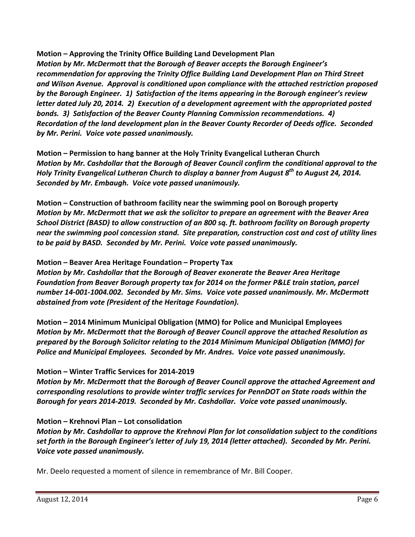**Motion – Approving the Trinity Office Building Land Development Plan** *Motion by Mr. McDermott that the Borough of Beaver accepts the Borough Engineer's recommendation for approving the Trinity Office Building Land Development Plan on Third Street and Wilson Avenue. Approval is conditioned upon compliance with the attached restriction proposed by the Borough Engineer. 1) Satisfaction of the items appearing in the Borough engineer's review letter dated July 20, 2014. 2) Execution of a development agreement with the appropriated posted bonds. 3) Satisfaction of the Beaver County Planning Commission recommendations. 4) Recordation of the land development plan in the Beaver County Recorder of Deeds office. Seconded by Mr. Perini. Voice vote passed unanimously.*

**Motion – Permission to hang banner at the Holy Trinity Evangelical Lutheran Church** *Motion by Mr. Cashdollar that the Borough of Beaver Council confirm the conditional approval to the Holy Trinity Evangelical Lutheran Church to display a banner from August 8th to August 24, 2014. Seconded by Mr. Embaugh. Voice vote passed unanimously.*

**Motion – Construction of bathroom facility near the swimming pool on Borough property** *Motion by Mr. McDermott that we ask the solicitor to prepare an agreement with the Beaver Area School District (BASD) to allow construction of an 800 sq. ft. bathroom facility on Borough property near the swimming pool concession stand. Site preparation, construction cost and cost of utility lines to be paid by BASD. Seconded by Mr. Perini. Voice vote passed unanimously.*

#### **Motion – Beaver Area Heritage Foundation – Property Tax**

*Motion by Mr. Cashdollar that the Borough of Beaver exonerate the Beaver Area Heritage Foundation from Beaver Borough property tax for 2014 on the former P&LE train station, parcel number 14‐001‐1004.002. Seconded by Mr. Sims. Voice vote passed unanimously. Mr. McDermott abstained from vote (President of the Heritage Foundation).*

**Motion – 2014 Minimum Municipal Obligation (MMO) for Police and Municipal Employees** *Motion by Mr. McDermott that the Borough of Beaver Council approve the attached Resolution as prepared by the Borough Solicitor relating to the 2014 Minimum Municipal Obligation (MMO) for Police and Municipal Employees. Seconded by Mr. Andres. Voice vote passed unanimously.* 

#### **Motion – Winter Traffic Services for 2014‐2019**

*Motion by Mr. McDermott that the Borough of Beaver Council approve the attached Agreement and corresponding resolutions to provide winter traffic services for PennDOT on State roads within the Borough for years 2014‐2019. Seconded by Mr. Cashdollar. Voice vote passed unanimously.*

#### **Motion – Krehnovi Plan – Lot consolidation**

*Motion by Mr. Cashdollar to approve the Krehnovi Plan for lot consolidation subject to the conditions* set forth in the Borough Engineer's letter of July 19, 2014 (letter attached). Seconded by Mr. Perini. *Voice vote passed unanimously.*

Mr. Deelo requested a moment of silence in remembrance of Mr. Bill Cooper.